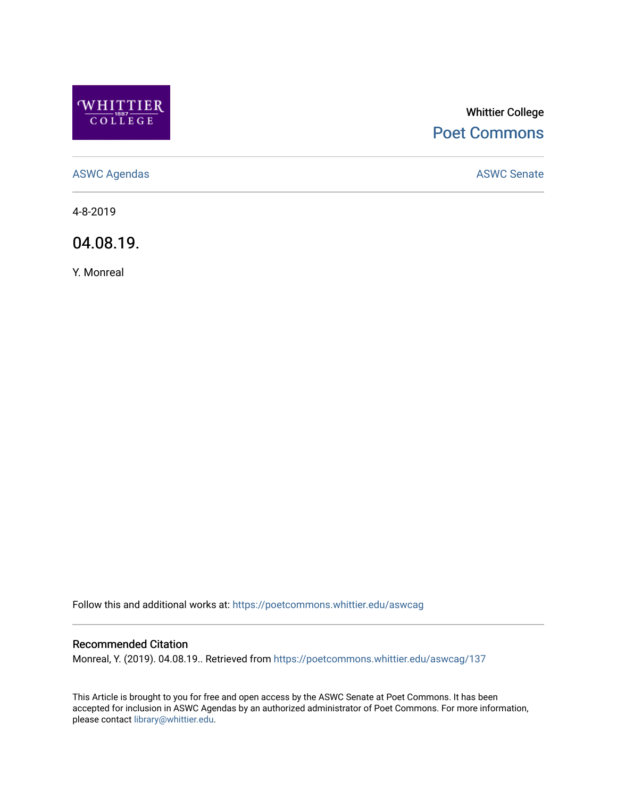

# Whittier College [Poet Commons](https://poetcommons.whittier.edu/)

[ASWC Agendas](https://poetcommons.whittier.edu/aswcag) **ASWC Senate** 

4-8-2019

04.08.19.

Y. Monreal

Follow this and additional works at: [https://poetcommons.whittier.edu/aswcag](https://poetcommons.whittier.edu/aswcag?utm_source=poetcommons.whittier.edu%2Faswcag%2F137&utm_medium=PDF&utm_campaign=PDFCoverPages) 

# Recommended Citation

Monreal, Y. (2019). 04.08.19.. Retrieved from [https://poetcommons.whittier.edu/aswcag/137](https://poetcommons.whittier.edu/aswcag/137?utm_source=poetcommons.whittier.edu%2Faswcag%2F137&utm_medium=PDF&utm_campaign=PDFCoverPages) 

This Article is brought to you for free and open access by the ASWC Senate at Poet Commons. It has been accepted for inclusion in ASWC Agendas by an authorized administrator of Poet Commons. For more information, please contact [library@whittier.edu](mailto:library@whittier.edu).